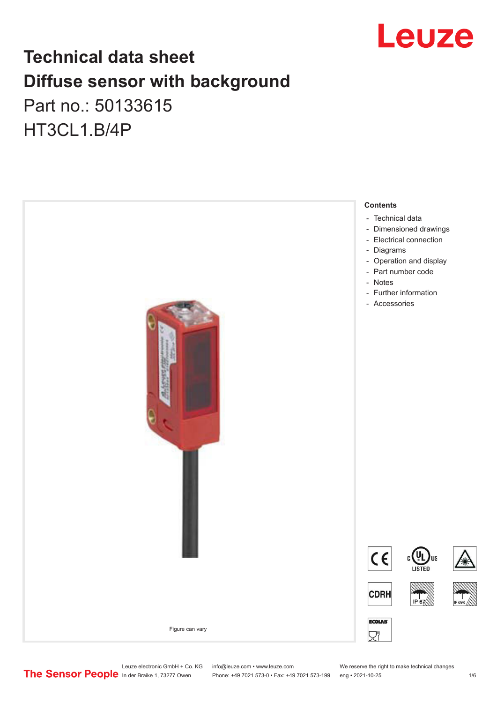

## **Technical data sheet Diffuse sensor with background**  Part no.: 50133615

HT3CL1.B/4P



Leuze electronic GmbH + Co. KG info@leuze.com • www.leuze.com We reserve the right to make technical changes<br>
The Sensor People in der Braike 1, 73277 Owen Phone: +49 7021 573-0 • Fax: +49 7021 573-199 eng • 2021-10-25

Phone: +49 7021 573-0 • Fax: +49 7021 573-199 eng • 2021-10-25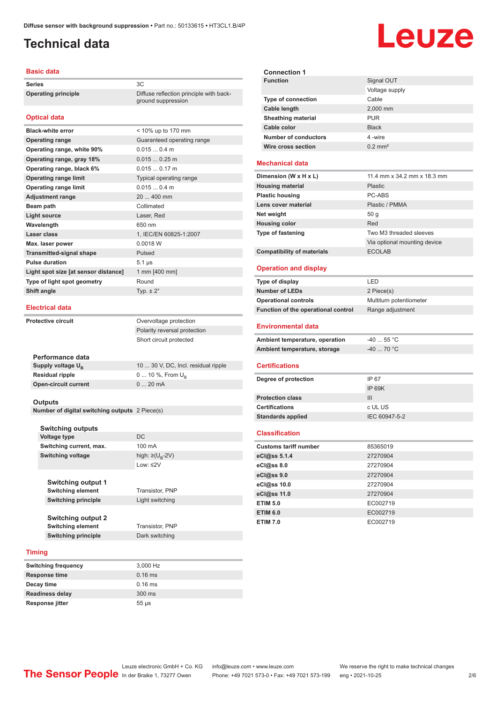ground suppression

### <span id="page-1-0"></span>**Technical data**

#### **Basic data**

**Series** 3C **Operating principle** Diffuse reflection principle with back-

#### **Optical data**

| <b>Black-white error</b>             | $<$ 10% up to 170 mm       |
|--------------------------------------|----------------------------|
| <b>Operating range</b>               | Guaranteed operating range |
| Operating range, white 90%           | $0.0150.4$ m               |
| Operating range, gray 18%            | $0.0150.25$ m              |
| Operating range, black 6%            | $0.0150.17$ m              |
| <b>Operating range limit</b>         | Typical operating range    |
| <b>Operating range limit</b>         | 0.0150.4 m                 |
| <b>Adjustment range</b>              | 20  400 mm                 |
| Beam path                            | Collimated                 |
| <b>Light source</b>                  | Laser, Red                 |
| Wavelength                           | 650 nm                     |
| Laser class                          | 1, IEC/EN 60825-1:2007     |
| Max. laser power                     | 0.0018 W                   |
| <b>Transmitted-signal shape</b>      | Pulsed                     |
| <b>Pulse duration</b>                | $5.1 \,\mu s$              |
| Light spot size [at sensor distance] | 1 mm [400 mm]              |
| Type of light spot geometry          | Round                      |
| Shift angle                          | Typ. $\pm 2^{\circ}$       |
|                                      |                            |

#### **Electrical data**

**Protective circuit COVER COVER COVER COVER COVER** Polarity reversal protection Short circuit protected

| Performance data              |                                     |
|-------------------------------|-------------------------------------|
| Supply voltage U <sub>B</sub> | 10  30 V, DC, Incl. residual ripple |
| Residual ripple               | 0  10 %, From $U_{p}$               |
| Open-circuit current          | $020$ mA                            |
|                               |                                     |

#### **Outputs**

**Number of digital switching outputs** 2 Piece(s)

| <b>Switching outputs</b>                                                            |                                   |
|-------------------------------------------------------------------------------------|-----------------------------------|
| Voltage type                                                                        | DC.                               |
| Switching current, max.                                                             | 100 mA                            |
| <b>Switching voltage</b>                                                            | high: $\geq$ (U <sub>R</sub> -2V) |
|                                                                                     | $1$ nw: $\leq$ 2V                 |
| <b>Switching output 1</b><br><b>Switching element</b>                               | Transistor, PNP                   |
| <b>Switching principle</b>                                                          | Light switching                   |
| <b>Switching output 2</b><br><b>Switching element</b><br><b>Switching principle</b> | Transistor, PNP<br>Dark switching |
|                                                                                     |                                   |

#### **Timing**

| <b>Switching frequency</b> | 3,000 Hz   |
|----------------------------|------------|
| <b>Response time</b>       | $0.16$ ms  |
| Decay time                 | $0.16$ ms  |
| <b>Readiness delay</b>     | 300 ms     |
| Response jitter            | $55 \mu s$ |

| <b>Connection 1</b>       |                       |
|---------------------------|-----------------------|
| <b>Function</b>           | Signal OUT            |
|                           | Voltage supply        |
| <b>Type of connection</b> | Cable                 |
| Cable length              | 2,000 mm              |
| <b>Sheathing material</b> | <b>PUR</b>            |
| Cable color               | <b>Black</b>          |
| Number of conductors      | 4-wire                |
| Wire cross section        | $0.2$ mm <sup>2</sup> |
|                           |                       |

#### **Mechanical data**

| Dimension (W x H x L)             | 11.4 mm x 34.2 mm x 18.3 mm  |
|-----------------------------------|------------------------------|
| <b>Housing material</b>           | Plastic                      |
| <b>Plastic housing</b>            | PC-ABS                       |
| Lens cover material               | Plastic / PMMA               |
| Net weight                        | 50q                          |
| <b>Housing color</b>              | Red                          |
| <b>Type of fastening</b>          | Two M3 threaded sleeves      |
|                                   | Via optional mounting device |
| <b>Compatibility of materials</b> | <b>ECOLAB</b>                |

#### **Operation and display**

| Type of display                     | I FD                    |
|-------------------------------------|-------------------------|
| <b>Number of LEDs</b>               | 2 Piece(s)              |
| <b>Operational controls</b>         | Multiturn potentiometer |
| Function of the operational control | Range adjustment        |
| <b>Environmental data</b>           |                         |
| Ambient temperature, operation      | $-4055$ °C              |
| Ambient temperature, storage        | $-40$ 70 °C             |
|                                     |                         |
| <b>Certifications</b>               |                         |
| Degree of protection                | IP 67                   |

#### **Certifications** c UL US **Standards applied** IEC 60947-5-2

**Protection class** III

#### **Classification**

| <b>Customs tariff number</b> | 85365019 |
|------------------------------|----------|
| eCl@ss 5.1.4                 | 27270904 |
| eCl@ss 8.0                   | 27270904 |
| eCl@ss 9.0                   | 27270904 |
| eCl@ss 10.0                  | 27270904 |
| eCl@ss 11.0                  | 27270904 |
| <b>ETIM 5.0</b>              | EC002719 |
| <b>ETIM 6.0</b>              | EC002719 |
| <b>ETIM 7.0</b>              | EC002719 |

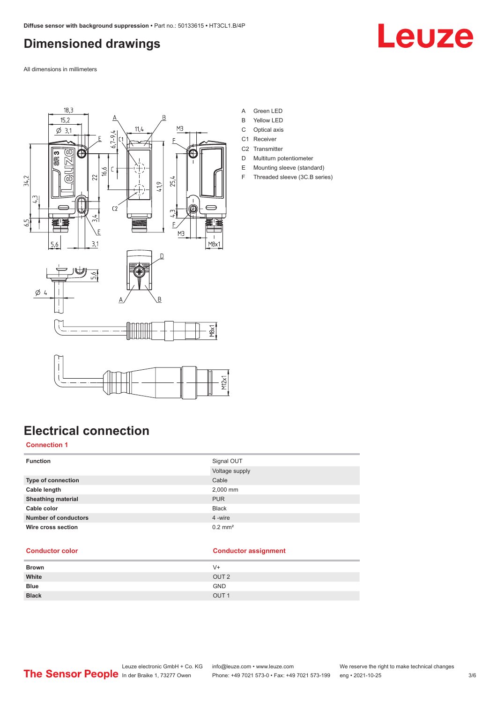### <span id="page-2-0"></span>**Dimensioned drawings**

Leuze

All dimensions in millimeters



- A Green LED
- B Yellow LED
- C Optical axis
- C1 Receiver
- C<sub>2</sub> Transmitter
- D Multiturn potentiometer E Mounting sleeve (standard)
- F Threaded sleeve (3C.B series)

### **Electrical connection**

#### **Connection 1**

| <b>Function</b>             | Signal OUT            |
|-----------------------------|-----------------------|
|                             | Voltage supply        |
| <b>Type of connection</b>   | Cable                 |
| Cable length                | 2,000 mm              |
| <b>Sheathing material</b>   | <b>PUR</b>            |
| Cable color                 | <b>Black</b>          |
| <b>Number of conductors</b> | 4 -wire               |
| Wire cross section          | $0.2$ mm <sup>2</sup> |

#### **Conductor color Conductor assignment**

| <b>Brown</b> | $V +$            |
|--------------|------------------|
| White        | OUT <sub>2</sub> |
| <b>Blue</b>  | <b>GND</b>       |
| <b>Black</b> | OUT <sub>1</sub> |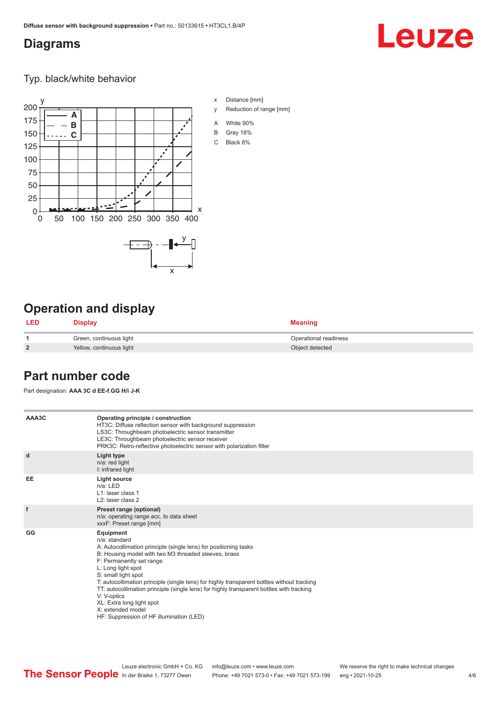### <span id="page-3-0"></span>**Diagrams**

# Leuze

Typ. black/white behavior



### **Operation and display**

| <b>LED</b>     | <b>Display</b>           | <b>Meaning</b>        |
|----------------|--------------------------|-----------------------|
|                | Green, continuous light  | Operational readiness |
| $\overline{2}$ | Yellow, continuous light | Object detected       |

### **Part number code**

Part designation: **AAA 3C d EE-f.GG H/i J-K**

| AAA3C     | Operating principle / construction<br>HT3C: Diffuse reflection sensor with background suppression<br>LS3C: Throughbeam photoelectric sensor transmitter<br>LE3C: Throughbeam photoelectric sensor receiver<br>PRK3C: Retro-reflective photoelectric sensor with polarization filter                                                                                                                                                                                                                                                    |
|-----------|----------------------------------------------------------------------------------------------------------------------------------------------------------------------------------------------------------------------------------------------------------------------------------------------------------------------------------------------------------------------------------------------------------------------------------------------------------------------------------------------------------------------------------------|
| d         | Light type<br>n/a: red light<br>I: infrared light                                                                                                                                                                                                                                                                                                                                                                                                                                                                                      |
| <b>EE</b> | Light source<br>$n/a$ : LED<br>L1: laser class 1<br>L <sub>2</sub> : laser class 2                                                                                                                                                                                                                                                                                                                                                                                                                                                     |
| f         | Preset range (optional)<br>n/a: operating range acc. to data sheet<br>xxxF: Preset range [mm]                                                                                                                                                                                                                                                                                                                                                                                                                                          |
| GG        | Equipment<br>n/a: standard<br>A: Autocollimation principle (single lens) for positioning tasks<br>B: Housing model with two M3 threaded sleeves, brass<br>F: Permanently set range<br>L: Long light spot<br>S: small light spot<br>T: autocollimation principle (single lens) for highly transparent bottles without tracking<br>TT: autocollimation principle (single lens) for highly transparent bottles with tracking<br>V: V-optics<br>XL: Extra long light spot<br>X: extended model<br>HF: Suppression of HF illumination (LED) |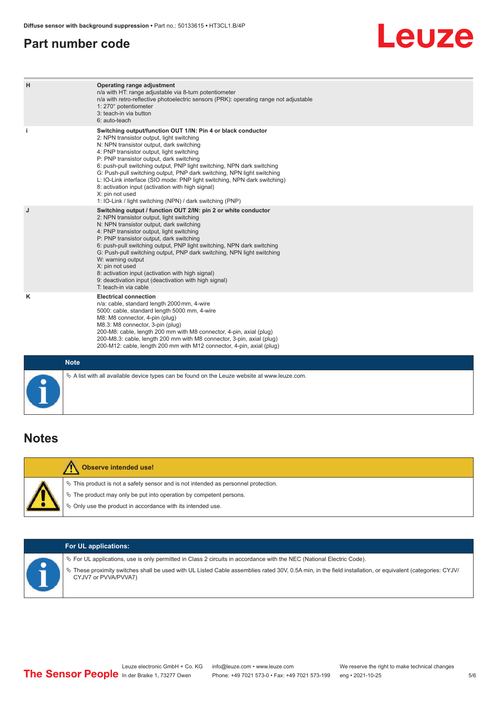### <span id="page-4-0"></span>**Part number code**

## **Leuze**

| H           | Operating range adjustment<br>n/a with HT: range adjustable via 8-turn potentiometer<br>n/a with retro-reflective photoelectric sensors (PRK): operating range not adjustable<br>1: 270° potentiometer<br>3: teach-in via button<br>6: auto-teach                                                                                                                                                                                                                                                                                                                                                                   |
|-------------|---------------------------------------------------------------------------------------------------------------------------------------------------------------------------------------------------------------------------------------------------------------------------------------------------------------------------------------------------------------------------------------------------------------------------------------------------------------------------------------------------------------------------------------------------------------------------------------------------------------------|
| j.          | Switching output/function OUT 1/IN: Pin 4 or black conductor<br>2: NPN transistor output, light switching<br>N: NPN transistor output, dark switching<br>4: PNP transistor output, light switching<br>P: PNP transistor output, dark switching<br>6: push-pull switching output, PNP light switching, NPN dark switching<br>G: Push-pull switching output, PNP dark switching, NPN light switching<br>L: IO-Link interface (SIO mode: PNP light switching, NPN dark switching)<br>8: activation input (activation with high signal)<br>X: pin not used<br>1: IO-Link / light switching (NPN) / dark switching (PNP) |
| J           | Switching output / function OUT 2/IN: pin 2 or white conductor<br>2: NPN transistor output, light switching<br>N: NPN transistor output, dark switching<br>4: PNP transistor output, light switching<br>P: PNP transistor output, dark switching<br>6: push-pull switching output, PNP light switching, NPN dark switching<br>G: Push-pull switching output, PNP dark switching, NPN light switching<br>W: warning output<br>X: pin not used<br>8: activation input (activation with high signal)<br>9: deactivation input (deactivation with high signal)<br>T: teach-in via cable                                 |
| ĸ           | <b>Electrical connection</b><br>n/a: cable, standard length 2000 mm, 4-wire<br>5000: cable, standard length 5000 mm, 4-wire<br>M8: M8 connector, 4-pin (plug)<br>M8.3: M8 connector, 3-pin (plug)<br>200-M8: cable, length 200 mm with M8 connector, 4-pin, axial (plug)<br>200-M8.3: cable, length 200 mm with M8 connector, 3-pin, axial (plug)<br>200-M12: cable, length 200 mm with M12 connector, 4-pin, axial (plug)                                                                                                                                                                                          |
| <b>Note</b> |                                                                                                                                                                                                                                                                                                                                                                                                                                                                                                                                                                                                                     |

### **Notes**

| <b>Observe intended use!</b>                                                                                                                                                                                                  |  |  |
|-------------------------------------------------------------------------------------------------------------------------------------------------------------------------------------------------------------------------------|--|--|
| $\%$ This product is not a safety sensor and is not intended as personnel protection.<br>$\&$ The product may only be put into operation by competent persons.<br>§ Only use the product in accordance with its intended use. |  |  |
|                                                                                                                                                                                                                               |  |  |

 $\%$  A list with all available device types can be found on the Leuze website at www.leuze.com.

| <b>For UL applications:</b>                                                                                                                                                                                                                                                                                   |
|---------------------------------------------------------------------------------------------------------------------------------------------------------------------------------------------------------------------------------------------------------------------------------------------------------------|
| $\%$ For UL applications, use is only permitted in Class 2 circuits in accordance with the NEC (National Electric Code).<br>V These proximity switches shall be used with UL Listed Cable assemblies rated 30V, 0.5A min, in the field installation, or equivalent (categories: CYJV/<br>CYJV7 or PVVA/PVVA7) |